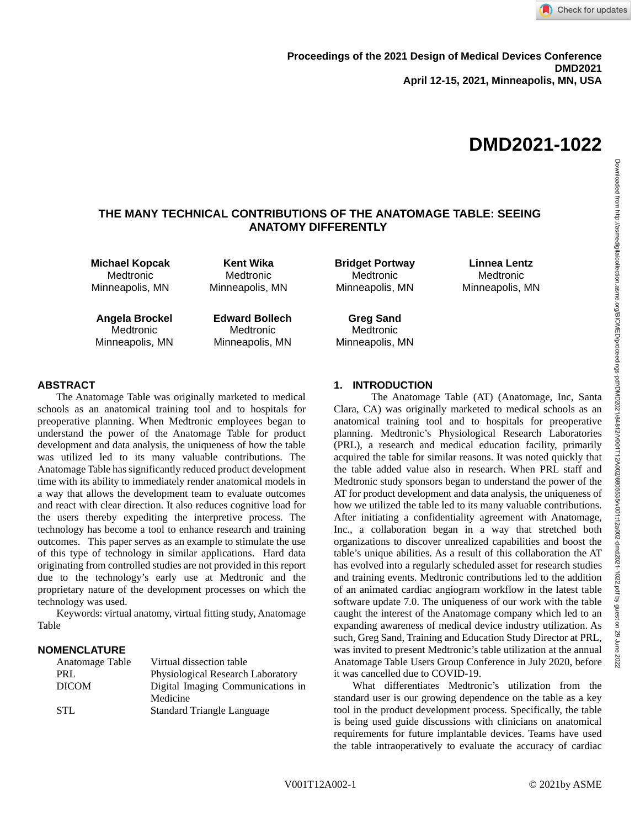# **THE MANY TECHNICAL CONTRIBUTIONS OF THE ANATOMAGE TABLE: SEEING ANATOMY DIFFERENTLY**

**Michael Kopcak** Medtronic Minneapolis, MN

**Kent Wika** Medtronic Minneapolis, MN

**Angela Brockel** Medtronic Minneapolis, MN **Edward Bollech Medtronic** Minneapolis, MN

**Bridget Portway** Medtronic Minneapolis, MN

**Linnea Lentz** Medtronic Minneapolis, MN

**Greg Sand Medtronic** Minneapolis, MN

# **ABSTRACT**

The Anatomage Table was originally marketed to medical schools as an anatomical training tool and to hospitals for preoperative planning. When Medtronic employees began to understand the power of the Anatomage Table for product development and data analysis, the uniqueness of how the table was utilized led to its many valuable contributions. The Anatomage Table has significantly reduced product development time with its ability to immediately render anatomical models in a way that allows the development team to evaluate outcomes and react with clear direction. It also reduces cognitive load for the users thereby expediting the interpretive process. The technology has become a tool to enhance research and training outcomes. This paper serves as an example to stimulate the use of this type of technology in similar applications. Hard data originating from controlled studies are not provided in this report due to the technology's early use at Medtronic and the proprietary nature of the development processes on which the technology was used.

Keywords: virtual anatomy, virtual fitting study, Anatomage Table

# **NOMENCLATURE**

| Anatomage Table | Virtual dissection table          |
|-----------------|-----------------------------------|
| PRL             | Physiological Research Laboratory |
| <b>DICOM</b>    | Digital Imaging Communications in |
|                 | Medicine                          |
| STL.            | <b>Standard Triangle Language</b> |

# **1. INTRODUCTION**

The Anatomage Table (AT) (Anatomage, Inc, Santa Clara, CA) was originally marketed to medical schools as an anatomical training tool and to hospitals for preoperative planning. Medtronic's Physiological Research Laboratories (PRL), a research and medical education facility, primarily acquired the table for similar reasons. It was noted quickly that the table added value also in research. When PRL staff and Medtronic study sponsors began to understand the power of the AT for product development and data analysis, the uniqueness of how we utilized the table led to its many valuable contributions. After initiating a confidentiality agreement with Anatomage, Inc., a collaboration began in a way that stretched both organizations to discover unrealized capabilities and boost the table's unique abilities. As a result of this collaboration the AT has evolved into a regularly scheduled asset for research studies and training events. Medtronic contributions led to the addition of an animated cardiac angiogram workflow in the latest table software update 7.0. The uniqueness of our work with the table caught the interest of the Anatomage company which led to an expanding awareness of medical device industry utilization. As such, Greg Sand, Training and Education Study Director at PRL, was invited to present Medtronic's table utilization at the annual Anatomage Table Users Group Conference in July 2020, before it was cancelled due to COVID-19.

What differentiates Medtronic's utilization from the standard user is our growing dependence on the table as a key tool in the product development process. Specifically, the table is being used guide discussions with clinicians on anatomical requirements for future implantable devices. Teams have used the table intraoperatively to evaluate the accuracy of cardiac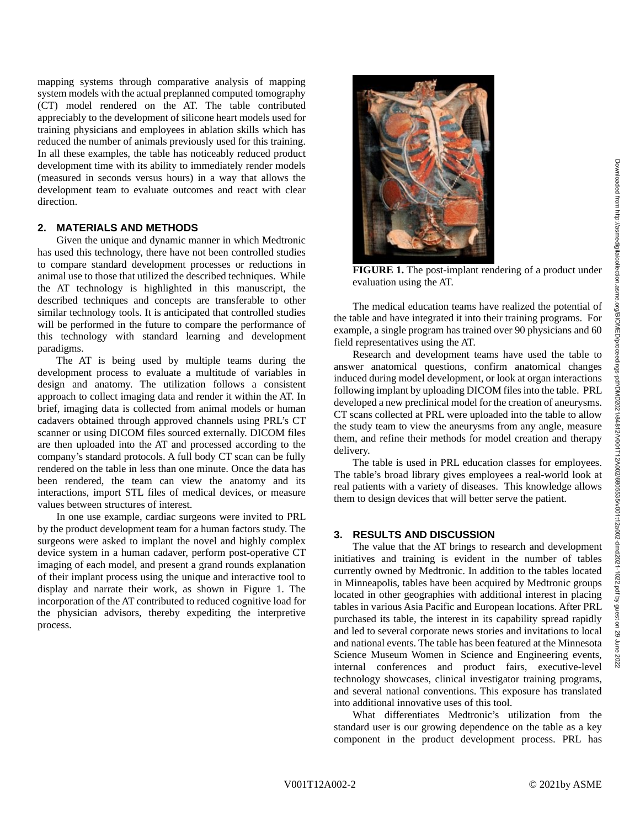mapping systems through comparative analysis of mapping system models with the actual preplanned computed tomography (CT) model rendered on the AT. The table contributed appreciably to the development of silicone heart models used for training physicians and employees in ablation skills which has reduced the number of animals previously used for this training. In all these examples, the table has noticeably reduced product development time with its ability to immediately render models (measured in seconds versus hours) in a way that allows the development team to evaluate outcomes and react with clear direction.

#### **2. MATERIALS AND METHODS**

Given the unique and dynamic manner in which Medtronic has used this technology, there have not been controlled studies to compare standard development processes or reductions in animal use to those that utilized the described techniques. While the AT technology is highlighted in this manuscript, the described techniques and concepts are transferable to other similar technology tools. It is anticipated that controlled studies will be performed in the future to compare the performance of this technology with standard learning and development paradigms.

The AT is being used by multiple teams during the development process to evaluate a multitude of variables in design and anatomy. The utilization follows a consistent approach to collect imaging data and render it within the AT. In brief, imaging data is collected from animal models or human cadavers obtained through approved channels using PRL's CT scanner or using DICOM files sourced externally. DICOM files are then uploaded into the AT and processed according to the company's standard protocols. A full body CT scan can be fully rendered on the table in less than one minute. Once the data has been rendered, the team can view the anatomy and its interactions, import STL files of medical devices, or measure values between structures of interest.

In one use example, cardiac surgeons were invited to PRL by the product development team for a human factors study. The surgeons were asked to implant the novel and highly complex device system in a human cadaver, perform post-operative CT imaging of each model, and present a grand rounds explanation of their implant process using the unique and interactive tool to display and narrate their work, as shown in Figure 1. The incorporation of the AT contributed to reduced cognitive load for the physician advisors, thereby expediting the interpretive process.



**FIGURE 1.** The post-implant rendering of a product under evaluation using the AT.

The medical education teams have realized the potential of the table and have integrated it into their training programs. For example, a single program has trained over 90 physicians and 60 field representatives using the AT.

Research and development teams have used the table to answer anatomical questions, confirm anatomical changes induced during model development, or look at organ interactions following implant by uploading DICOM files into the table. PRL developed a new preclinical model for the creation of aneurysms. CT scans collected at PRL were uploaded into the table to allow the study team to view the aneurysms from any angle, measure them, and refine their methods for model creation and therapy delivery.

The table is used in PRL education classes for employees. The table's broad library gives employees a real-world look at real patients with a variety of diseases. This knowledge allows them to design devices that will better serve the patient.

# **3. RESULTS AND DISCUSSION**

The value that the AT brings to research and development initiatives and training is evident in the number of tables currently owned by Medtronic. In addition to the tables located in Minneapolis, tables have been acquired by Medtronic groups located in other geographies with additional interest in placing tables in various Asia Pacific and European locations. After PRL purchased its table, the interest in its capability spread rapidly and led to several corporate news stories and invitations to local and national events. The table has been featured at the Minnesota Science Museum Women in Science and Engineering events, internal conferences and product fairs, executive-level technology showcases, clinical investigator training programs, and several national conventions. This exposure has translated into additional innovative uses of this tool.

What differentiates Medtronic's utilization from the standard user is our growing dependence on the table as a key component in the product development process. PRL has 2022